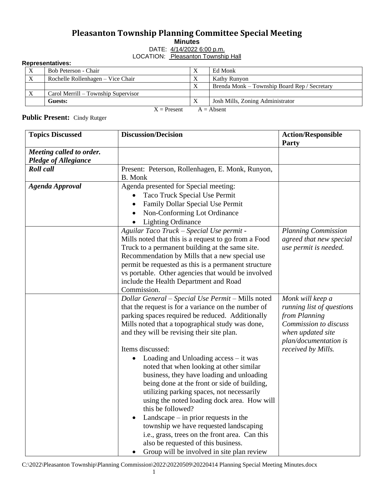## **Pleasanton Township Planning Committee Special Meeting**

**Minutes**

DATE:  $4/14/2022$  6:00 p.m.

LOCATION: Pleasanton Township Hall

| <b>Representatives:</b> |
|-------------------------|
|                         |

| $\boldsymbol{X}$                                                                          | Bob Peterson - Chair                | $\Lambda$    | Ed Monk                                      |  |  |  |
|-------------------------------------------------------------------------------------------|-------------------------------------|--------------|----------------------------------------------|--|--|--|
| X                                                                                         | Rochelle Rollenhagen – Vice Chair   | $\Lambda$    | Kathy Runyon                                 |  |  |  |
|                                                                                           |                                     | $\mathbf{v}$ | Brenda Monk – Township Board Rep / Secretary |  |  |  |
| X                                                                                         | Carol Merrill – Township Supervisor |              |                                              |  |  |  |
|                                                                                           | Guests:                             | $\Lambda$    | Josh Mills, Zoning Administrator             |  |  |  |
| $\mathbf{v}$ $\mathbf{v}$ $\mathbf{v}$ $\mathbf{v}$ $\mathbf{v}$ $\mathbf{v}$<br>$\cdots$ |                                     |              |                                              |  |  |  |

## Public Present: Cindy Rutger

 $X =$  Present  $A =$  Absent

| <b>Topics Discussed</b>                                 | <b>Discussion/Decision</b>                                                                   | <b>Action/Responsible</b> |
|---------------------------------------------------------|----------------------------------------------------------------------------------------------|---------------------------|
|                                                         |                                                                                              | Party                     |
| Meeting called to order.<br><b>Pledge of Allegiance</b> |                                                                                              |                           |
| <b>Roll</b> call                                        | Present: Peterson, Rollenhagen, E. Monk, Runyon,                                             |                           |
|                                                         | <b>B.</b> Monk                                                                               |                           |
| <b>Agenda Approval</b>                                  | Agenda presented for Special meeting:                                                        |                           |
|                                                         | Taco Truck Special Use Permit                                                                |                           |
|                                                         | Family Dollar Special Use Permit                                                             |                           |
|                                                         | Non-Conforming Lot Ordinance                                                                 |                           |
|                                                         | <b>Lighting Ordinance</b>                                                                    |                           |
|                                                         | Aguilar Taco Truck - Special Use permit -                                                    |                           |
|                                                         | Mills noted that this is a request to go from a Food                                         | agreed that new special   |
|                                                         | Truck to a permanent building at the same site.                                              | use permit is needed.     |
|                                                         | Recommendation by Mills that a new special use                                               |                           |
|                                                         | permit be requested as this is a permanent structure                                         |                           |
|                                                         | vs portable. Other agencies that would be involved<br>include the Health Department and Road |                           |
|                                                         | Commission.                                                                                  |                           |
|                                                         | Dollar General - Special Use Permit - Mills noted                                            | Monk will keep a          |
|                                                         | that the request is for a variance on the number of                                          | running list of questions |
|                                                         | parking spaces required be reduced. Additionally                                             | from Planning             |
|                                                         | Mills noted that a topographical study was done,                                             | Commission to discuss     |
|                                                         | and they will be revising their site plan.                                                   | when updated site         |
|                                                         |                                                                                              | plan/documentation is     |
|                                                         | Items discussed:                                                                             | received by Mills.        |
|                                                         | Loading and Unloading $access - it$ was                                                      |                           |
|                                                         | noted that when looking at other similar                                                     |                           |
|                                                         | business, they have loading and unloading                                                    |                           |
|                                                         | being done at the front or side of building,<br>utilizing parking spaces, not necessarily    |                           |
|                                                         | using the noted loading dock area. How will                                                  |                           |
|                                                         | this be followed?                                                                            |                           |
|                                                         | Landscape $-$ in prior requests in the                                                       |                           |
|                                                         | township we have requested landscaping                                                       |                           |
|                                                         | i.e., grass, trees on the front area. Can this                                               |                           |
|                                                         | also be requested of this business.                                                          |                           |
|                                                         | Group will be involved in site plan review                                                   |                           |